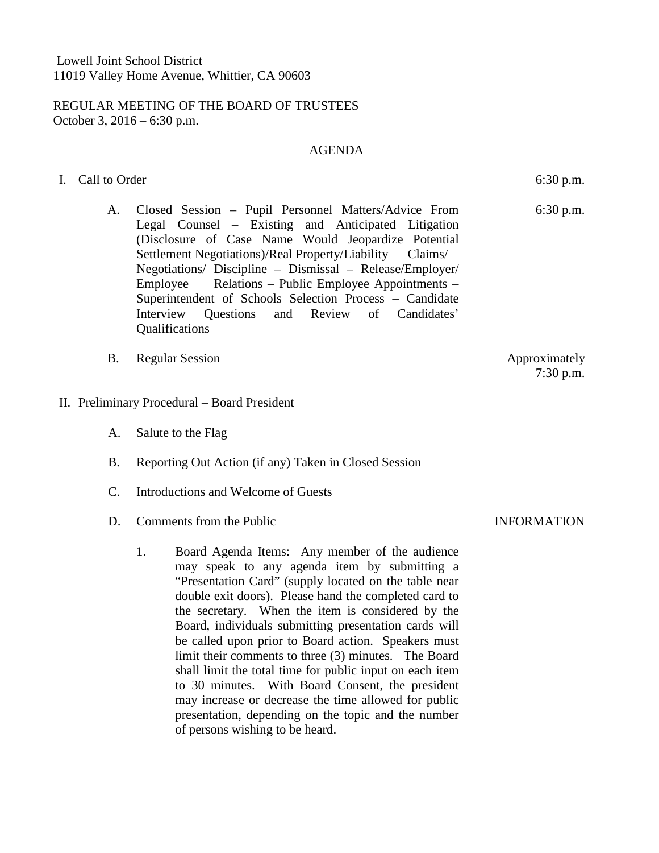## REGULAR MEETING OF THE BOARD OF TRUSTEES October 3, 2016 – 6:30 p.m.

## AGENDA

## I. Call to Order 6:30 p.m.

- A. Closed Session Pupil Personnel Matters/Advice From Legal Counsel – Existing and Anticipated Litigation (Disclosure of Case Name Would Jeopardize Potential Settlement Negotiations)/Real Property/Liability Claims/ Negotiations/ Discipline – Dismissal – Release/Employer/ Employee Relations – Public Employee Appointments – Superintendent of Schools Selection Process – Candidate Interview Questions and Review of Candidates' **Oualifications**
- B. Regular Session Approximately
- II. Preliminary Procedural Board President
	- A. Salute to the Flag
	- B. Reporting Out Action (if any) Taken in Closed Session
	- C. Introductions and Welcome of Guests
	- D. Comments from the Public **INFORMATION** 
		- 1. Board Agenda Items: Any member of the audience may speak to any agenda item by submitting a "Presentation Card" (supply located on the table near double exit doors). Please hand the completed card to the secretary. When the item is considered by the Board, individuals submitting presentation cards will be called upon prior to Board action. Speakers must limit their comments to three (3) minutes. The Board shall limit the total time for public input on each item to 30 minutes. With Board Consent, the president may increase or decrease the time allowed for public presentation, depending on the topic and the number of persons wishing to be heard.

6:30 p.m.

7:30 p.m.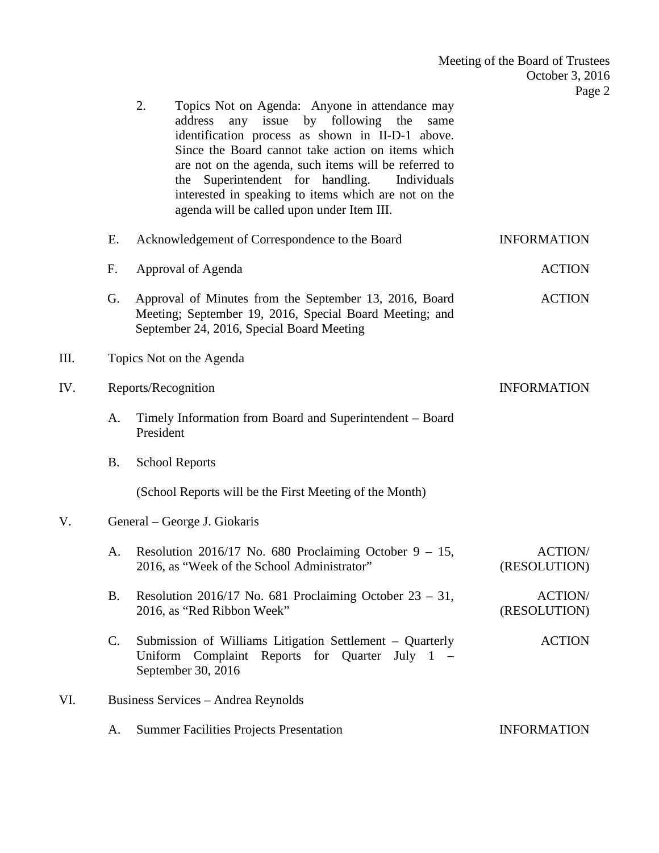|     |                | 2.<br>Topics Not on Agenda: Anyone in attendance may<br>any issue by following the<br>address<br>same<br>identification process as shown in II-D-1 above.<br>Since the Board cannot take action on items which<br>are not on the agenda, such items will be referred to<br>Superintendent for handling.<br>Individuals<br>the<br>interested in speaking to items which are not on the<br>agenda will be called upon under Item III. |                                |  |  |
|-----|----------------|-------------------------------------------------------------------------------------------------------------------------------------------------------------------------------------------------------------------------------------------------------------------------------------------------------------------------------------------------------------------------------------------------------------------------------------|--------------------------------|--|--|
|     | E.             | Acknowledgement of Correspondence to the Board                                                                                                                                                                                                                                                                                                                                                                                      | <b>INFORMATION</b>             |  |  |
|     | F.             | Approval of Agenda                                                                                                                                                                                                                                                                                                                                                                                                                  | <b>ACTION</b>                  |  |  |
|     | G.             | Approval of Minutes from the September 13, 2016, Board<br>Meeting; September 19, 2016, Special Board Meeting; and<br>September 24, 2016, Special Board Meeting                                                                                                                                                                                                                                                                      | <b>ACTION</b>                  |  |  |
| Ш.  |                | Topics Not on the Agenda                                                                                                                                                                                                                                                                                                                                                                                                            |                                |  |  |
| IV. |                | Reports/Recognition<br><b>INFORMATION</b>                                                                                                                                                                                                                                                                                                                                                                                           |                                |  |  |
|     | A.             | Timely Information from Board and Superintendent - Board<br>President                                                                                                                                                                                                                                                                                                                                                               |                                |  |  |
|     | <b>B.</b>      | <b>School Reports</b>                                                                                                                                                                                                                                                                                                                                                                                                               |                                |  |  |
|     |                | (School Reports will be the First Meeting of the Month)                                                                                                                                                                                                                                                                                                                                                                             |                                |  |  |
| V.  |                | General – George J. Giokaris                                                                                                                                                                                                                                                                                                                                                                                                        |                                |  |  |
|     | A.             | Resolution 2016/17 No. 680 Proclaiming October $9 - 15$ ,<br>2016, as "Week of the School Administrator"                                                                                                                                                                                                                                                                                                                            | <b>ACTION/</b><br>(RESOLUTION) |  |  |
|     | <b>B.</b>      | Resolution 2016/17 No. 681 Proclaiming October $23 - 31$ ,<br>2016, as "Red Ribbon Week"                                                                                                                                                                                                                                                                                                                                            | <b>ACTION/</b><br>(RESOLUTION) |  |  |
|     | $\mathbf{C}$ . | Submission of Williams Litigation Settlement – Quarterly<br>Uniform Complaint Reports for Quarter July 1 –<br>September 30, 2016                                                                                                                                                                                                                                                                                                    | <b>ACTION</b>                  |  |  |
| VI. |                | Business Services - Andrea Reynolds                                                                                                                                                                                                                                                                                                                                                                                                 |                                |  |  |
|     | A.             | <b>Summer Facilities Projects Presentation</b>                                                                                                                                                                                                                                                                                                                                                                                      | <b>INFORMATION</b>             |  |  |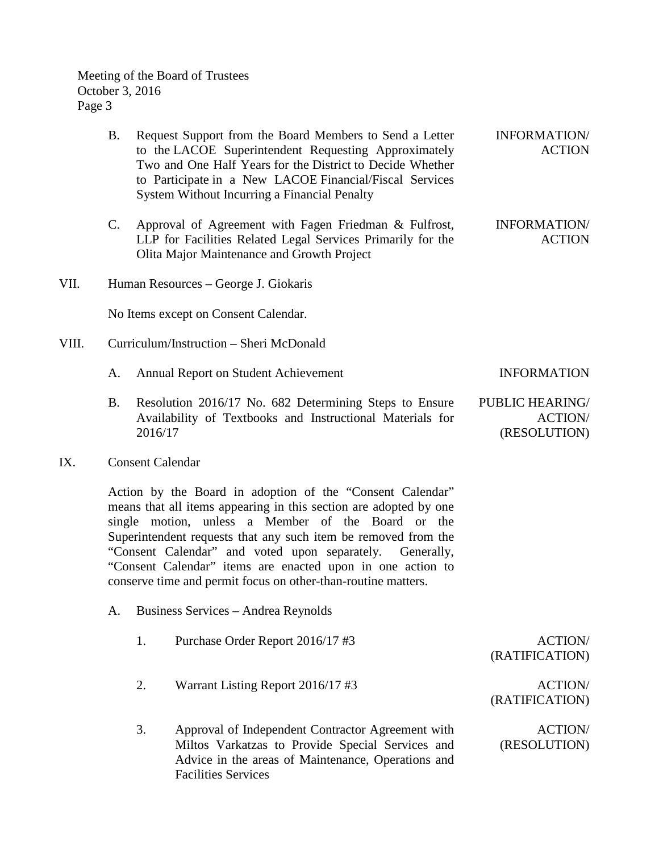Meeting of the Board of Trustees October 3, 2016 Page 3

|       | <b>B.</b>                                                                                                                                                                                                                                                                                                                                                                                                                                            | Request Support from the Board Members to Send a Letter<br>to the LACOE Superintendent Requesting Approximately<br>Two and One Half Years for the District to Decide Whether<br>to Participate in a New LACOE Financial/Fiscal Services<br>System Without Incurring a Financial Penalty | <b>INFORMATION/</b><br><b>ACTION</b>                     |
|-------|------------------------------------------------------------------------------------------------------------------------------------------------------------------------------------------------------------------------------------------------------------------------------------------------------------------------------------------------------------------------------------------------------------------------------------------------------|-----------------------------------------------------------------------------------------------------------------------------------------------------------------------------------------------------------------------------------------------------------------------------------------|----------------------------------------------------------|
|       | $C$ .                                                                                                                                                                                                                                                                                                                                                                                                                                                | Approval of Agreement with Fagen Friedman & Fulfrost,<br>LLP for Facilities Related Legal Services Primarily for the<br>Olita Major Maintenance and Growth Project                                                                                                                      | <b>INFORMATION/</b><br><b>ACTION</b>                     |
| VII.  | Human Resources – George J. Giokaris                                                                                                                                                                                                                                                                                                                                                                                                                 |                                                                                                                                                                                                                                                                                         |                                                          |
|       |                                                                                                                                                                                                                                                                                                                                                                                                                                                      | No Items except on Consent Calendar.                                                                                                                                                                                                                                                    |                                                          |
| VIII. |                                                                                                                                                                                                                                                                                                                                                                                                                                                      | Curriculum/Instruction – Sheri McDonald                                                                                                                                                                                                                                                 |                                                          |
|       | A.                                                                                                                                                                                                                                                                                                                                                                                                                                                   | <b>Annual Report on Student Achievement</b>                                                                                                                                                                                                                                             | <b>INFORMATION</b>                                       |
|       | <b>B.</b>                                                                                                                                                                                                                                                                                                                                                                                                                                            | Resolution 2016/17 No. 682 Determining Steps to Ensure<br>Availability of Textbooks and Instructional Materials for<br>2016/17                                                                                                                                                          | <b>PUBLIC HEARING/</b><br><b>ACTION/</b><br>(RESOLUTION) |
| IX.   | <b>Consent Calendar</b>                                                                                                                                                                                                                                                                                                                                                                                                                              |                                                                                                                                                                                                                                                                                         |                                                          |
|       | Action by the Board in adoption of the "Consent Calendar"<br>means that all items appearing in this section are adopted by one<br>single motion, unless a Member of the Board or the<br>Superintendent requests that any such item be removed from the<br>"Consent Calendar" and voted upon separately.<br>Generally,<br>"Consent Calendar" items are enacted upon in one action to<br>conserve time and permit focus on other-than-routine matters. |                                                                                                                                                                                                                                                                                         |                                                          |
|       | A.                                                                                                                                                                                                                                                                                                                                                                                                                                                   | Business Services - Andrea Reynolds                                                                                                                                                                                                                                                     |                                                          |

- 1. Purchase Order Report 2016/17 #3 ACTION/
- 2. Warrant Listing Report 2016/17 #3 ACTION/
- 3. Approval of Independent Contractor Agreement with Miltos Varkatzas to Provide Special Services and Advice in the areas of Maintenance, Operations and Facilities Services ACTION/ (RESOLUTION)

(RATIFICATION)

(RATIFICATION)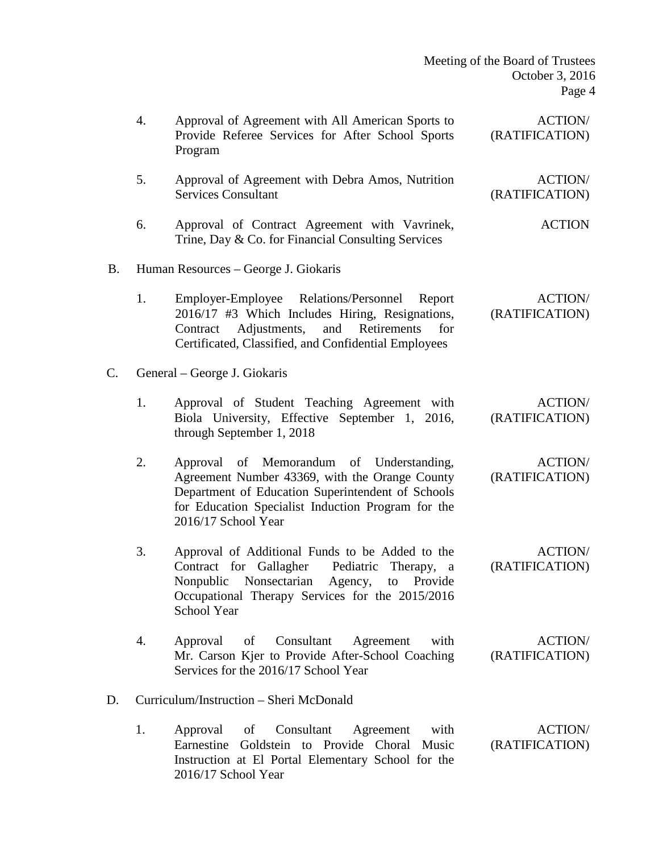| Meeting of the Board of Trustees |                 |        |
|----------------------------------|-----------------|--------|
|                                  | October 3, 2016 |        |
|                                  |                 | Page 4 |

|           | 4.                                      | Approval of Agreement with All American Sports to<br>Provide Referee Services for After School Sports<br>Program                                                                                                             | <b>ACTION/</b><br>(RATIFICATION) |  |
|-----------|-----------------------------------------|------------------------------------------------------------------------------------------------------------------------------------------------------------------------------------------------------------------------------|----------------------------------|--|
|           | 5.                                      | Approval of Agreement with Debra Amos, Nutrition<br><b>Services Consultant</b>                                                                                                                                               | <b>ACTION/</b><br>(RATIFICATION) |  |
|           | 6.                                      | Approval of Contract Agreement with Vavrinek,<br>Trine, Day & Co. for Financial Consulting Services                                                                                                                          | <b>ACTION</b>                    |  |
| <b>B.</b> | Human Resources – George J. Giokaris    |                                                                                                                                                                                                                              |                                  |  |
|           | 1.                                      | Employer-Employee Relations/Personnel Report<br>2016/17 #3 Which Includes Hiring, Resignations,<br>Contract Adjustments, and Retirements<br>for<br>Certificated, Classified, and Confidential Employees                      | <b>ACTION/</b><br>(RATIFICATION) |  |
| C.        | General – George J. Giokaris            |                                                                                                                                                                                                                              |                                  |  |
|           | 1.                                      | Approval of Student Teaching Agreement with<br>Biola University, Effective September 1, 2016,<br>through September 1, 2018                                                                                                   | <b>ACTION/</b><br>(RATIFICATION) |  |
|           | 2.                                      | Approval of Memorandum of Understanding,<br>Agreement Number 43369, with the Orange County<br>Department of Education Superintendent of Schools<br>for Education Specialist Induction Program for the<br>2016/17 School Year | <b>ACTION/</b><br>(RATIFICATION) |  |
|           | 3.                                      | Approval of Additional Funds to be Added to the<br>Contract for Gallagher Pediatric Therapy, a<br>Nonpublic Nonsectarian Agency,<br>to Provide<br>Occupational Therapy Services for the 2015/2016<br><b>School Year</b>      | <b>ACTION/</b><br>(RATIFICATION) |  |
|           | 4.                                      | Consultant<br>Agreement<br>with<br>Approval<br>of<br>Mr. Carson Kjer to Provide After-School Coaching<br>Services for the 2016/17 School Year                                                                                | <b>ACTION/</b><br>(RATIFICATION) |  |
| D.        | Curriculum/Instruction – Sheri McDonald |                                                                                                                                                                                                                              |                                  |  |
|           | 1.                                      | Consultant<br>with<br>Approval of<br>Agreement<br>Goldstein to Provide Choral Music<br>Earnestine<br>Instruction at El Portal Elementary School for the<br>2016/17 School Year                                               | <b>ACTION/</b><br>(RATIFICATION) |  |